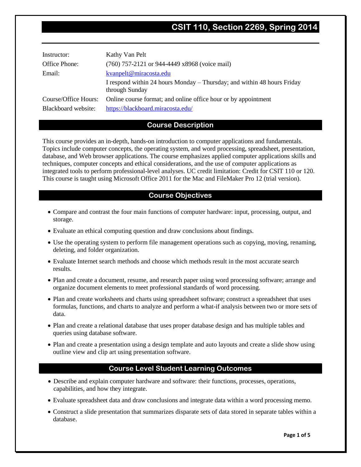# **CSIT 110, Section 2269, Spring 2014**

| Instructor:          | Kathy Van Pelt                                                                            |
|----------------------|-------------------------------------------------------------------------------------------|
| Office Phone:        | $(760)$ 757-2121 or 944-4449 x8968 (voice mail)                                           |
| Email:               | kvanpelt@miracosta.edu                                                                    |
|                      | I respond within 24 hours Monday – Thursday; and within 48 hours Friday<br>through Sunday |
| Course/Office Hours: | Online course format; and online office hour or by appointment                            |
| Blackboard website:  | https://blackboard.miracosta.edu/                                                         |

# **Course Description**

This course provides an in-depth, hands-on introduction to computer applications and fundamentals. Topics include computer concepts, the operating system, and word processing, spreadsheet, presentation, database, and Web browser applications. The course emphasizes applied computer applications skills and techniques, computer concepts and ethical considerations, and the use of computer applications as integrated tools to perform professional-level analyses. UC credit limitation: Credit for CSIT 110 or 120. This course is taught using Microsoft Office 2011 for the Mac and FileMaker Pro 12 (trial version).

# **Course Objectives**

- Compare and contrast the four main functions of computer hardware: input, processing, output, and storage.
- Evaluate an ethical computing question and draw conclusions about findings.
- Use the operating system to perform file management operations such as copying, moving, renaming, deleting, and folder organization.
- Evaluate Internet search methods and choose which methods result in the most accurate search results.
- Plan and create a document, resume, and research paper using word processing software; arrange and organize document elements to meet professional standards of word processing.
- Plan and create worksheets and charts using spreadsheet software; construct a spreadsheet that uses formulas, functions, and charts to analyze and perform a what-if analysis between two or more sets of data.
- Plan and create a relational database that uses proper database design and has multiple tables and queries using database software.
- Plan and create a presentation using a design template and auto layouts and create a slide show using outline view and clip art using presentation software.

# **Course Level Student Learning Outcomes**

- Describe and explain computer hardware and software: their functions, processes, operations, capabilities, and how they integrate.
- Evaluate spreadsheet data and draw conclusions and integrate data within a word processing memo.
- Construct a slide presentation that summarizes disparate sets of data stored in separate tables within a database.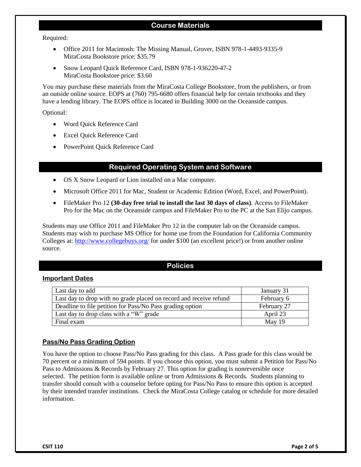# **Course Materials**

Required:

- Office 2011 for Macintosh: The Missing Manual, Grover, ISBN 978-1-4493-9335-9 MiraCosta Bookstore price: \$35.79
- Snow Leopard Quick Reference Card, ISBN 978-1-936220-47-2 MiraCosta Bookstore price: \$3.60

You may purchase these materials from the MiraCosta College Bookstore, from the publishers, or from an outside online source. EOPS at (760) 795-6680 offers financial help for certain textbooks and they have a lending library. The EOPS office is located in Building 3000 on the Oceanside campus.

Optional:

- Word Quick Reference Card
- Excel Quick Reference Card
- PowerPoint Quick Reference Card

# **Required Operating System and Software**

- OS X Snow Leopard or Lion installed on a Mac computer.
- Microsoft Office 2011 for Mac, Student or Academic Edition (Word, Excel, and PowerPoint).
- FileMaker Pro 12 **(30-day free trial to install the last 30 days of class)**. Access to FileMaker Pro for the Mac on the Oceanside campus and FileMaker Pro to the PC at the San Elijo campus.

Students may use Office 2011 and FileMaker Pro 12 in the computer lab on the Oceanside campus. Students may wish to purchase MS Office for home use from the Foundation for California Community Colleges at: [http://www.collegebuys.org/](http://www.shopcollegebuys.org/Home/tabid/56/Default.aspx) for under \$100 (an excellent price!) or from another online source.

# **Policies**

#### **Important Dates**

| Last day to add                                                    | January 31  |
|--------------------------------------------------------------------|-------------|
| Last day to drop with no grade placed on record and receive refund | February 6  |
| Deadline to file petition for Pass/No Pass grading option          | February 27 |
| Last day to drop class with a "W" grade                            | April 23    |
| Final exam                                                         | May 19      |

# **Pass/No Pass Grading Option**

You have the option to choose Pass/No Pass grading for this class. A Pass grade for this class would be 70 percent or a minimum of 594 points. If you choose this option, you must submit a Petition for Pass/No Pass to Admissions & Records by February 27. This option for grading is nonreversible once selected. The petition form is available online or from Admissions  $\&$  Records. Students planning to transfer should consult with a counselor before opting for Pass/No Pass to ensure this option is accepted by their intended transfer institutions. Check the MiraCosta College catalog or schedule for more detailed information.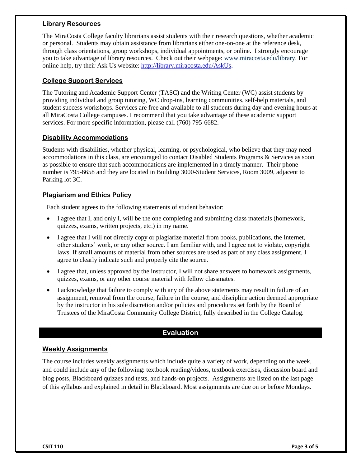#### **Library Resources**

The MiraCosta College faculty librarians assist students with their research questions, whether academic or personal. Students may obtain assistance from librarians either one-on-one at the reference desk, through class orientations, group workshops, individual appointments, or online. I strongly encourage you to take advantage of library resources. Check out their webpage: [www.miracosta.edu/library.](http://www.miracosta.edu/library) For online help, try their Ask Us website: [http://library.miracosta.edu/AskUs.](http://library.miracosta.edu/AskUs)

# **College Support Services**

The Tutoring and Academic Support Center (TASC) and the Writing Center (WC) assist students by providing individual and group tutoring, WC drop-ins, learning communities, self-help materials, and student success workshops. Services are free and available to all students during day and evening hours at all MiraCosta College campuses. I recommend that you take advantage of these academic support services. For more specific information, please call (760) 795-6682.

#### **Disability Accommodations**

Students with disabilities, whether physical, learning, or psychological, who believe that they may need accommodations in this class, are encouraged to contact Disabled Students Programs & Services as soon as possible to ensure that such accommodations are implemented in a timely manner. Their phone number is 795-6658 and they are located in Building 3000-Student Services, Room 3009, adjacent to Parking lot 3C.

#### **Plagiarism and Ethics Policy**

Each student agrees to the following statements of student behavior:

- I agree that I, and only I, will be the one completing and submitting class materials (homework, quizzes, exams, written projects, etc.) in my name.
- I agree that I will not directly copy or plagiarize material from books, publications, the Internet, other students' work, or any other source. I am familiar with, and I agree not to violate, copyright laws. If small amounts of material from other sources are used as part of any class assignment, I agree to clearly indicate such and properly cite the source.
- $\bullet$  I agree that, unless approved by the instructor, I will not share answers to homework assignments, quizzes, exams, or any other course material with fellow classmates.
- I acknowledge that failure to comply with any of the above statements may result in failure of an assignment, removal from the course, failure in the course, and discipline action deemed appropriate by the instructor in his sole discretion and/or policies and procedures set forth by the Board of Trustees of the MiraCosta Community College District, fully described in the College Catalog.

# **Evaluation**

#### **Weekly Assignments**

The course includes weekly assignments which include quite a variety of work, depending on the week, and could include any of the following: textbook reading/videos, textbook exercises, discussion board and blog posts, Blackboard quizzes and tests, and hands-on projects. Assignments are listed on the last page of this syllabus and explained in detail in Blackboard. Most assignments are due on or before Mondays.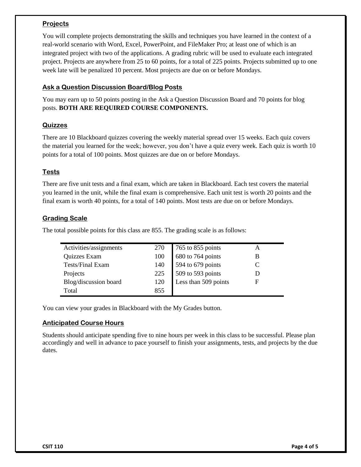# **Projects**

You will complete projects demonstrating the skills and techniques you have learned in the context of a real-world scenario with Word, Excel, PowerPoint, and FileMaker Pro; at least one of which is an integrated project with two of the applications. A grading rubric will be used to evaluate each integrated project. Projects are anywhere from 25 to 60 points, for a total of 225 points. Projects submitted up to one week late will be penalized 10 percent. Most projects are due on or before Mondays.

# **Ask a Question Discussion Board/Blog Posts**

You may earn up to 50 points posting in the Ask a Question Discussion Board and 70 points for blog posts. **BOTH ARE REQUIRED COURSE COMPONENTS.**

# **Quizzes**

There are 10 Blackboard quizzes covering the weekly material spread over 15 weeks. Each quiz covers the material you learned for the week; however, you don't have a quiz every week. Each quiz is worth 10 points for a total of 100 points. Most quizzes are due on or before Mondays.

# **Tests**

There are five unit tests and a final exam, which are taken in Blackboard. Each test covers the material you learned in the unit, while the final exam is comprehensive. Each unit test is worth 20 points and the final exam is worth 40 points, for a total of 140 points. Most tests are due on or before Mondays.

# **Grading Scale**

The total possible points for this class are 855. The grading scale is as follows:

| Activities/assignments |     | 270 765 to 855 points<br>100 680 to 764 points<br>140 594 to 679 points<br>225 509 to 593 points<br>120 Less than 509 points |   |
|------------------------|-----|------------------------------------------------------------------------------------------------------------------------------|---|
| Quizzes Exam           |     |                                                                                                                              |   |
| Tests/Final Exam       |     |                                                                                                                              |   |
| Projects               |     |                                                                                                                              |   |
| Blog/discussion board  |     |                                                                                                                              | F |
| Total                  | 855 |                                                                                                                              |   |

You can view your grades in Blackboard with the My Grades button.

# **Anticipated Course Hours**

Students should anticipate spending five to nine hours per week in this class to be successful. Please plan accordingly and well in advance to pace yourself to finish your assignments, tests, and projects by the due dates.